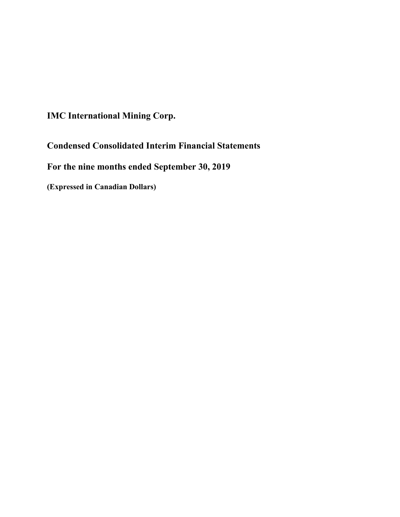**IMC International Mining Corp.**

**Condensed Consolidated Interim Financial Statements**

**For the nine months ended September 30, 2019**

**(Expressed in Canadian Dollars)**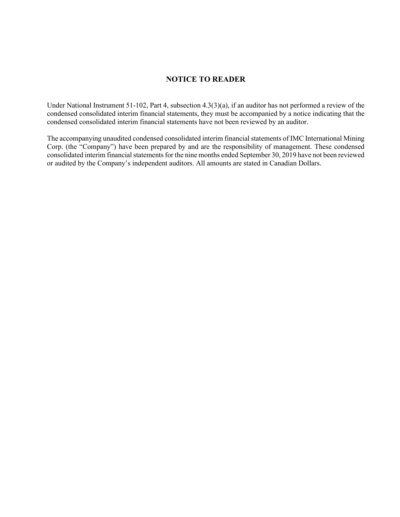# **NOTICE TO READER**

Under National Instrument 51-102, Part 4, subsection 4.3(3)(a), if an auditor has not performed a review of the condensed consolidated interim financial statements, they must be accompanied by a notice indicating that the condensed consolidated interim financial statements have not been reviewed by an auditor.

The accompanying unaudited condensed consolidated interim financial statements of IMC International Mining Corp. (the "Company") have been prepared by and are the responsibility of management. These condensed consolidated interim financial statements for the nine months ended September 30, 2019 have not been reviewed or audited by the Company's independent auditors. All amounts are stated in Canadian Dollars.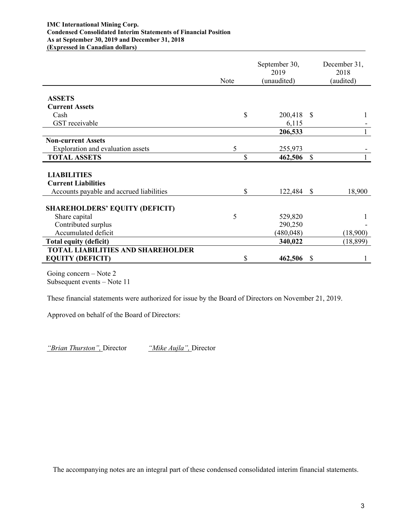#### **IMC International Mining Corp. Condensed Consolidated Interim Statements of Financial Position As at September 30, 2019 and December 31, 2018 (Expressed in Canadian dollars)**

|                                          | Note | September 30,<br>2019<br>(unaudited) |               | December 31,<br>2018<br>(audited) |
|------------------------------------------|------|--------------------------------------|---------------|-----------------------------------|
| <b>ASSETS</b>                            |      |                                      |               |                                   |
| <b>Current Assets</b>                    |      |                                      |               |                                   |
| Cash                                     |      | \$<br>200,418 \$                     |               |                                   |
| GST receivable                           |      | 6,115                                |               |                                   |
|                                          |      | 206,533                              |               |                                   |
| <b>Non-current Assets</b>                |      |                                      |               |                                   |
| Exploration and evaluation assets        | 5    | 255,973                              |               |                                   |
| <b>TOTAL ASSETS</b>                      |      | \$<br>462,506                        | $\mathbb{S}$  |                                   |
|                                          |      |                                      |               |                                   |
| <b>LIABILITIES</b>                       |      |                                      |               |                                   |
| <b>Current Liabilities</b>               |      |                                      |               |                                   |
| Accounts payable and accrued liabilities |      | \$<br>122,484                        | <sup>\$</sup> | 18,900                            |
| <b>SHAREHOLDERS' EQUITY (DEFICIT)</b>    |      |                                      |               |                                   |
| Share capital                            | 5    | 529,820                              |               |                                   |
| Contributed surplus                      |      | 290,250                              |               |                                   |
| Accumulated deficit                      |      | (480, 048)                           |               | (18,900)                          |
| <b>Total equity (deficit)</b>            |      | 340,022                              |               | (18, 899)                         |
| <b>TOTAL LIABILITIES AND SHAREHOLDER</b> |      |                                      |               |                                   |
| <b>EQUITY (DEFICIT)</b>                  |      | \$<br>462,506                        | <sup>\$</sup> |                                   |

Going concern – Note 2 Subsequent events – Note 11

These financial statements were authorized for issue by the Board of Directors on November 21, 2019.

Approved on behalf of the Board of Directors:

*"Brian Thurston",* Director *"Mike Aujla",* Director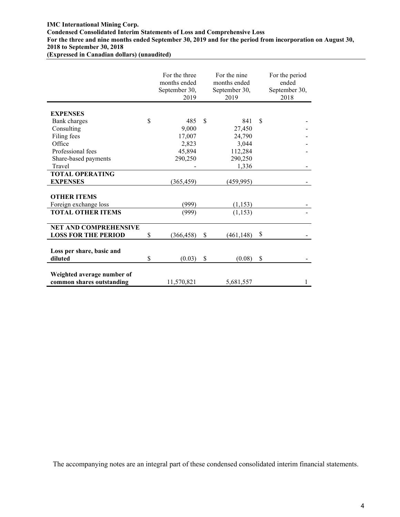#### **IMC International Mining Corp.**

**Condensed Consolidated Interim Statements of Loss and Comprehensive Loss**

**For the three and nine months ended September 30, 2019 and for the period from incorporation on August 30, 2018 to September 30, 2018**

**(Expressed in Canadian dollars) (unaudited)**

|                              | For the three<br>months ended<br>September 30,<br>2019 |             | For the nine<br>months ended<br>September 30,<br>2019 | For the period<br>ended<br>September 30,<br>2018 |
|------------------------------|--------------------------------------------------------|-------------|-------------------------------------------------------|--------------------------------------------------|
| <b>EXPENSES</b>              |                                                        |             |                                                       |                                                  |
| Bank charges                 | \$<br>485                                              | $\mathbf S$ | 841                                                   | \$                                               |
| Consulting                   | 9,000                                                  |             | 27,450                                                |                                                  |
| Filing fees                  | 17,007                                                 |             | 24,790                                                |                                                  |
| Office                       | 2,823                                                  |             | 3,044                                                 |                                                  |
| Professional fees            | 45,894                                                 |             | 112,284                                               |                                                  |
| Share-based payments         | 290,250                                                |             | 290,250                                               |                                                  |
| Travel                       |                                                        |             | 1,336                                                 |                                                  |
| <b>TOTAL OPERATING</b>       |                                                        |             |                                                       |                                                  |
| <b>EXPENSES</b>              | (365, 459)                                             |             | (459, 995)                                            |                                                  |
|                              |                                                        |             |                                                       |                                                  |
| <b>OTHER ITEMS</b>           |                                                        |             |                                                       |                                                  |
| Foreign exchange loss        | (999)                                                  |             | (1, 153)                                              |                                                  |
| <b>TOTAL OTHER ITEMS</b>     | (999)                                                  |             | (1, 153)                                              |                                                  |
|                              |                                                        |             |                                                       |                                                  |
| <b>NET AND COMPREHENSIVE</b> |                                                        |             |                                                       |                                                  |
| <b>LOSS FOR THE PERIOD</b>   | \$<br>(366, 458)                                       | \$          | (461, 148)                                            | \$                                               |
|                              |                                                        |             |                                                       |                                                  |
| Loss per share, basic and    |                                                        |             |                                                       |                                                  |
| diluted                      | \$<br>(0.03)                                           | \$          | (0.08)                                                | \$                                               |
|                              |                                                        |             |                                                       |                                                  |
| Weighted average number of   |                                                        |             |                                                       |                                                  |
| common shares outstanding    | 11,570,821                                             |             | 5,681,557                                             |                                                  |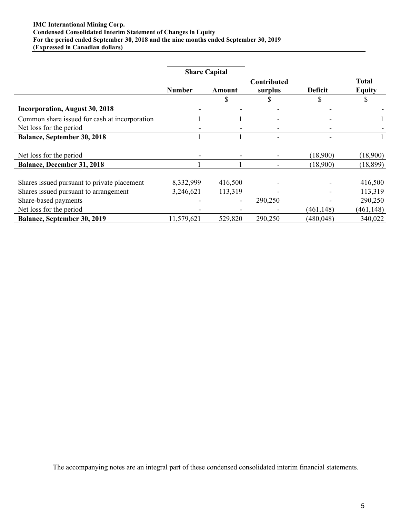#### **IMC International Mining Corp. Condensed Consolidated Interim Statement of Changes in Equity For the period ended September 30, 2018 and the nine months ended September 30, 2019 (Expressed in Canadian dollars)**

|                                               | <b>Share Capital</b> |               |                        |                |                               |  |
|-----------------------------------------------|----------------------|---------------|------------------------|----------------|-------------------------------|--|
|                                               | <b>Number</b>        | <b>Amount</b> | Contributed<br>surplus | <b>Deficit</b> | <b>Total</b><br><b>Equity</b> |  |
|                                               |                      |               |                        | D              |                               |  |
| <b>Incorporation, August 30, 2018</b>         |                      |               |                        |                |                               |  |
| Common share issued for cash at incorporation |                      |               |                        |                |                               |  |
| Net loss for the period                       |                      |               |                        |                |                               |  |
| <b>Balance, September 30, 2018</b>            |                      |               |                        |                |                               |  |
|                                               |                      |               |                        |                |                               |  |
| Net loss for the period                       |                      |               |                        | (18,900)       | (18,900)                      |  |
| <b>Balance, December 31, 2018</b>             |                      |               |                        | (18,900)       | (18, 899)                     |  |
| Shares issued pursuant to private placement   | 8,332,999            | 416,500       |                        |                | 416,500                       |  |
| Shares issued pursuant to arrangement         | 3,246,621            | 113,319       |                        |                | 113,319                       |  |
| Share-based payments                          |                      |               | 290,250                |                | 290,250                       |  |
| Net loss for the period                       |                      |               |                        | (461, 148)     | (461, 148)                    |  |
| <b>Balance, September 30, 2019</b>            | 11,579,621           | 529,820       | 290,250                | (480, 048)     | 340,022                       |  |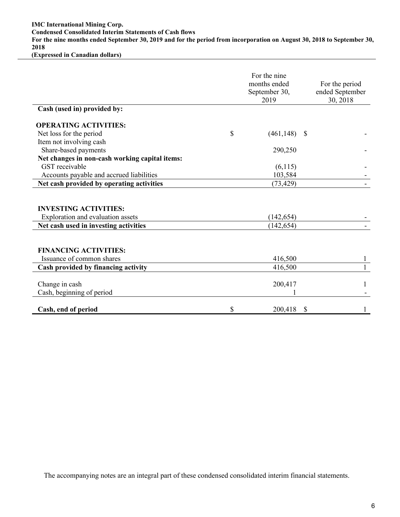**IMC International Mining Corp. Condensed Consolidated Interim Statements of Cash flows For the nine months ended September 30, 2019 and for the period from incorporation on August 30, 2018 to September 30, 2018 (Expressed in Canadian dollars)**

|                                                | For the nine<br>months ended<br>September 30,<br>2019 |    | For the period<br>ended September<br>30, 2018 |  |
|------------------------------------------------|-------------------------------------------------------|----|-----------------------------------------------|--|
| Cash (used in) provided by:                    |                                                       |    |                                               |  |
| <b>OPERATING ACTIVITIES:</b>                   |                                                       |    |                                               |  |
| Net loss for the period                        | \$<br>(461, 148)                                      | -S |                                               |  |
| Item not involving cash                        |                                                       |    |                                               |  |
| Share-based payments                           | 290,250                                               |    |                                               |  |
| Net changes in non-cash working capital items: |                                                       |    |                                               |  |
| GST receivable                                 | (6,115)                                               |    |                                               |  |
| Accounts payable and accrued liabilities       | 103,584                                               |    |                                               |  |
| Net cash provided by operating activities      | (73, 429)                                             |    |                                               |  |
|                                                |                                                       |    |                                               |  |
| <b>INVESTING ACTIVITIES:</b>                   |                                                       |    |                                               |  |
| Exploration and evaluation assets              | (142, 654)                                            |    |                                               |  |
| Net cash used in investing activities          | (142, 654)                                            |    |                                               |  |
|                                                |                                                       |    |                                               |  |
|                                                |                                                       |    |                                               |  |
| <b>FINANCING ACTIVITIES:</b>                   |                                                       |    |                                               |  |
| Issuance of common shares                      | 416,500                                               |    |                                               |  |
| Cash provided by financing activity            | 416,500                                               |    | 1                                             |  |
|                                                |                                                       |    |                                               |  |
| Change in cash                                 | 200,417                                               |    |                                               |  |
| Cash, beginning of period                      |                                                       |    |                                               |  |
| Cash, end of period                            | \$<br>200,418                                         | \$ |                                               |  |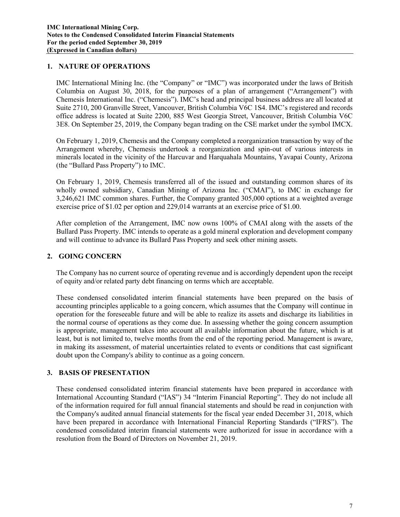### **1. NATURE OF OPERATIONS**

IMC International Mining Inc. (the "Company" or "IMC") was incorporated under the laws of British Columbia on August 30, 2018, for the purposes of a plan of arrangement ("Arrangement") with Chemesis International Inc. ("Chemesis"). IMC's head and principal business address are all located at Suite 2710, 200 Granville Street, Vancouver, British Columbia V6C 1S4. IMC's registered and records office address is located at Suite 2200, 885 West Georgia Street, Vancouver, British Columbia V6C 3E8. On September 25, 2019, the Company began trading on the CSE market under the symbol IMCX.

On February 1, 2019, Chemesis and the Company completed a reorganization transaction by way of the Arrangement whereby, Chemesis undertook a reorganization and spin-out of various interests in minerals located in the vicinity of the Harcuvar and Harquahala Mountains, Yavapai County, Arizona (the "Bullard Pass Property") to IMC.

On February 1, 2019, Chemesis transferred all of the issued and outstanding common shares of its wholly owned subsidiary, Canadian Mining of Arizona Inc. ("CMAI"), to IMC in exchange for 3,246,621 IMC common shares. Further, the Company granted 305,000 options at a weighted average exercise price of \$1.02 per option and 229,014 warrants at an exercise price of \$1.00.

After completion of the Arrangement, IMC now owns 100% of CMAI along with the assets of the Bullard Pass Property. IMC intends to operate as a gold mineral exploration and development company and will continue to advance its Bullard Pass Property and seek other mining assets.

# **2. GOING CONCERN**

The Company has no current source of operating revenue and is accordingly dependent upon the receipt of equity and/or related party debt financing on terms which are acceptable.

These condensed consolidated interim financial statements have been prepared on the basis of accounting principles applicable to a going concern, which assumes that the Company will continue in operation for the foreseeable future and will be able to realize its assets and discharge its liabilities in the normal course of operations as they come due. In assessing whether the going concern assumption is appropriate, management takes into account all available information about the future, which is at least, but is not limited to, twelve months from the end of the reporting period. Management is aware, in making its assessment, of material uncertainties related to events or conditions that cast significant doubt upon the Company's ability to continue as a going concern.

### **3. BASIS OF PRESENTATION**

These condensed consolidated interim financial statements have been prepared in accordance with International Accounting Standard ("IAS") 34 "Interim Financial Reporting". They do not include all of the information required for full annual financial statements and should be read in conjunction with the Company's audited annual financial statements for the fiscal year ended December 31, 2018, which have been prepared in accordance with International Financial Reporting Standards ("IFRS"). The condensed consolidated interim financial statements were authorized for issue in accordance with a resolution from the Board of Directors on November 21, 2019.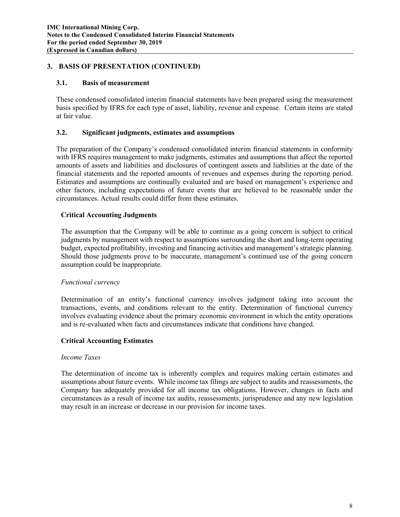## **3. BASIS OF PRESENTATION (CONTINUED)**

### **3.1. Basis of measurement**

These condensed consolidated interim financial statements have been prepared using the measurement basis specified by IFRS for each type of asset, liability, revenue and expense. Certain items are stated at fair value.

### **3.2. Significant judgments, estimates and assumptions**

The preparation of the Company's condensed consolidated interim financial statements in conformity with IFRS requires management to make judgments, estimates and assumptions that affect the reported amounts of assets and liabilities and disclosures of contingent assets and liabilities at the date of the financial statements and the reported amounts of revenues and expenses during the reporting period. Estimates and assumptions are continually evaluated and are based on management's experience and other factors, including expectations of future events that are believed to be reasonable under the circumstances. Actual results could differ from these estimates.

## **Critical Accounting Judgments**

The assumption that the Company will be able to continue as a going concern is subject to critical judgments by management with respect to assumptions surrounding the short and long-term operating budget, expected profitability, investing and financing activities and management's strategic planning. Should those judgments prove to be inaccurate, management's continued use of the going concern assumption could be inappropriate.

### *Functional currency*

Determination of an entity's functional currency involves judgment taking into account the transactions, events, and conditions relevant to the entity. Determination of functional currency involves evaluating evidence about the primary economic environment in which the entity operations and is re-evaluated when facts and circumstances indicate that conditions have changed.

### **Critical Accounting Estimates**

### *Income Taxes*

The determination of income tax is inherently complex and requires making certain estimates and assumptions about future events. While income tax filings are subject to audits and reassessments, the Company has adequately provided for all income tax obligations. However, changes in facts and circumstances as a result of income tax audits, reassessments, jurisprudence and any new legislation may result in an increase or decrease in our provision for income taxes.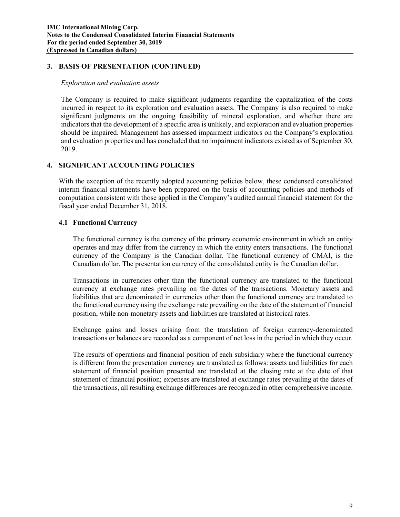### **3. BASIS OF PRESENTATION (CONTINUED)**

#### *Exploration and evaluation assets*

The Company is required to make significant judgments regarding the capitalization of the costs incurred in respect to its exploration and evaluation assets. The Company is also required to make significant judgments on the ongoing feasibility of mineral exploration, and whether there are indicators that the development of a specific area is unlikely, and exploration and evaluation properties should be impaired. Management has assessed impairment indicators on the Company's exploration and evaluation properties and has concluded that no impairment indicators existed as of September 30, 2019.

## **4. SIGNIFICANT ACCOUNTING POLICIES**

With the exception of the recently adopted accounting policies below, these condensed consolidated interim financial statements have been prepared on the basis of accounting policies and methods of computation consistent with those applied in the Company's audited annual financial statement for the fiscal year ended December 31, 2018.

### **4.1 Functional Currency**

The functional currency is the currency of the primary economic environment in which an entity operates and may differ from the currency in which the entity enters transactions. The functional currency of the Company is the Canadian dollar. The functional currency of CMAI, is the Canadian dollar. The presentation currency of the consolidated entity is the Canadian dollar.

Transactions in currencies other than the functional currency are translated to the functional currency at exchange rates prevailing on the dates of the transactions. Monetary assets and liabilities that are denominated in currencies other than the functional currency are translated to the functional currency using the exchange rate prevailing on the date of the statement of financial position, while non-monetary assets and liabilities are translated at historical rates.

Exchange gains and losses arising from the translation of foreign currency-denominated transactions or balances are recorded as a component of net loss in the period in which they occur.

The results of operations and financial position of each subsidiary where the functional currency is different from the presentation currency are translated as follows: assets and liabilities for each statement of financial position presented are translated at the closing rate at the date of that statement of financial position; expenses are translated at exchange rates prevailing at the dates of the transactions, all resulting exchange differences are recognized in other comprehensive income.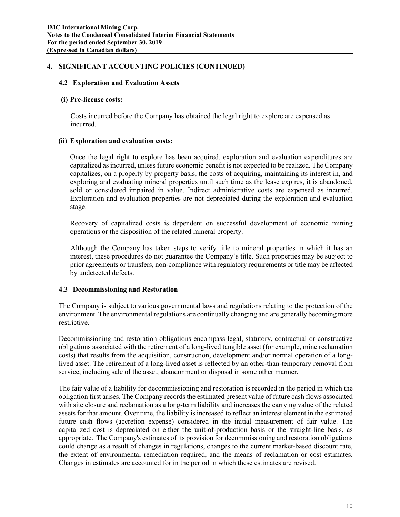## **4. SIGNIFICANT ACCOUNTING POLICIES (CONTINUED)**

### **4.2 Exploration and Evaluation Assets**

#### **(i) Pre-license costs:**

Costs incurred before the Company has obtained the legal right to explore are expensed as incurred.

### **(ii) Exploration and evaluation costs:**

Once the legal right to explore has been acquired, exploration and evaluation expenditures are capitalized as incurred, unless future economic benefit is not expected to be realized. The Company capitalizes, on a property by property basis, the costs of acquiring, maintaining its interest in, and exploring and evaluating mineral properties until such time as the lease expires, it is abandoned, sold or considered impaired in value. Indirect administrative costs are expensed as incurred. Exploration and evaluation properties are not depreciated during the exploration and evaluation stage.

Recovery of capitalized costs is dependent on successful development of economic mining operations or the disposition of the related mineral property.

Although the Company has taken steps to verify title to mineral properties in which it has an interest, these procedures do not guarantee the Company's title. Such properties may be subject to prior agreements or transfers, non-compliance with regulatory requirements or title may be affected by undetected defects.

### **4.3 Decommissioning and Restoration**

The Company is subject to various governmental laws and regulations relating to the protection of the environment. The environmental regulations are continually changing and are generally becoming more restrictive.

Decommissioning and restoration obligations encompass legal, statutory, contractual or constructive obligations associated with the retirement of a long-lived tangible asset (for example, mine reclamation costs) that results from the acquisition, construction, development and/or normal operation of a longlived asset. The retirement of a long-lived asset is reflected by an other-than-temporary removal from service, including sale of the asset, abandonment or disposal in some other manner.

The fair value of a liability for decommissioning and restoration is recorded in the period in which the obligation first arises. The Company records the estimated present value of future cash flows associated with site closure and reclamation as a long-term liability and increases the carrying value of the related assets for that amount. Over time, the liability is increased to reflect an interest element in the estimated future cash flows (accretion expense) considered in the initial measurement of fair value. The capitalized cost is depreciated on either the unit-of-production basis or the straight-line basis, as appropriate. The Company's estimates of its provision for decommissioning and restoration obligations could change as a result of changes in regulations, changes to the current market-based discount rate, the extent of environmental remediation required, and the means of reclamation or cost estimates. Changes in estimates are accounted for in the period in which these estimates are revised.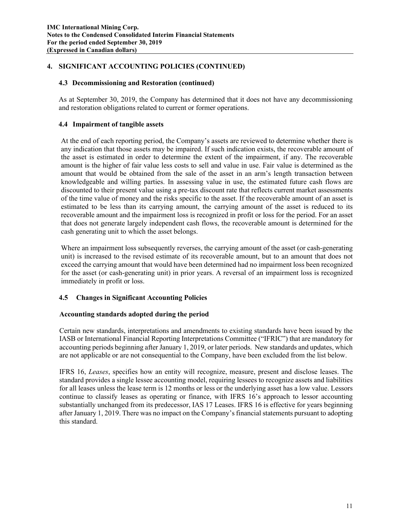# **4. SIGNIFICANT ACCOUNTING POLICIES (CONTINUED)**

### **4.3 Decommissioning and Restoration (continued)**

As at September 30, 2019, the Company has determined that it does not have any decommissioning and restoration obligations related to current or former operations.

# **4.4 Impairment of tangible assets**

At the end of each reporting period, the Company's assets are reviewed to determine whether there is any indication that those assets may be impaired. If such indication exists, the recoverable amount of the asset is estimated in order to determine the extent of the impairment, if any. The recoverable amount is the higher of fair value less costs to sell and value in use. Fair value is determined as the amount that would be obtained from the sale of the asset in an arm's length transaction between knowledgeable and willing parties. In assessing value in use, the estimated future cash flows are discounted to their present value using a pre-tax discount rate that reflects current market assessments of the time value of money and the risks specific to the asset. If the recoverable amount of an asset is estimated to be less than its carrying amount, the carrying amount of the asset is reduced to its recoverable amount and the impairment loss is recognized in profit or loss for the period. For an asset that does not generate largely independent cash flows, the recoverable amount is determined for the cash generating unit to which the asset belongs.

Where an impairment loss subsequently reverses, the carrying amount of the asset (or cash-generating unit) is increased to the revised estimate of its recoverable amount, but to an amount that does not exceed the carrying amount that would have been determined had no impairment loss been recognized for the asset (or cash-generating unit) in prior years. A reversal of an impairment loss is recognized immediately in profit or loss.

# **4.5 Changes in Significant Accounting Policies**

### **Accounting standards adopted during the period**

Certain new standards, interpretations and amendments to existing standards have been issued by the IASB or International Financial Reporting Interpretations Committee ("IFRIC") that are mandatory for accounting periods beginning after January 1, 2019, or later periods. New standards and updates, which are not applicable or are not consequential to the Company, have been excluded from the list below.

IFRS 16, *Leases*, specifies how an entity will recognize, measure, present and disclose leases. The standard provides a single lessee accounting model, requiring lessees to recognize assets and liabilities for all leases unless the lease term is 12 months or less or the underlying asset has a low value. Lessors continue to classify leases as operating or finance, with IFRS 16's approach to lessor accounting substantially unchanged from its predecessor, IAS 17 Leases. IFRS 16 is effective for years beginning after January 1, 2019. There was no impact on the Company'sfinancial statements pursuant to adopting this standard.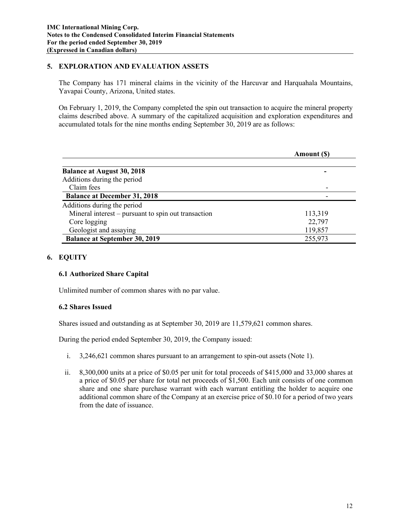## **5. EXPLORATION AND EVALUATION ASSETS**

The Company has 171 mineral claims in the vicinity of the Harcuvar and Harquahala Mountains, Yavapai County, Arizona, United states.

On February 1, 2019, the Company completed the spin out transaction to acquire the mineral property claims described above. A summary of the capitalized acquisition and exploration expenditures and accumulated totals for the nine months ending September 30, 2019 are as follows:

|                                                     | Amount (\$) |
|-----------------------------------------------------|-------------|
| <b>Balance at August 30, 2018</b>                   |             |
| Additions during the period                         |             |
| Claim fees                                          |             |
| <b>Balance at December 31, 2018</b>                 |             |
| Additions during the period                         |             |
| Mineral interest – pursuant to spin out transaction | 113,319     |
| Core logging                                        | 22,797      |
| Geologist and assaying                              | 119,857     |
| <b>Balance at September 30, 2019</b>                | 255,973     |

### **6. EQUITY**

### **6.1 Authorized Share Capital**

Unlimited number of common shares with no par value.

### **6.2 Shares Issued**

Shares issued and outstanding as at September 30, 2019 are 11,579,621 common shares.

During the period ended September 30, 2019, the Company issued:

- i. 3,246,621 common shares pursuant to an arrangement to spin-out assets (Note 1).
- ii. 8,300,000 units at a price of \$0.05 per unit for total proceeds of \$415,000 and 33,000 shares at a price of \$0.05 per share for total net proceeds of \$1,500. Each unit consists of one common share and one share purchase warrant with each warrant entitling the holder to acquire one additional common share of the Company at an exercise price of \$0.10 for a period of two years from the date of issuance.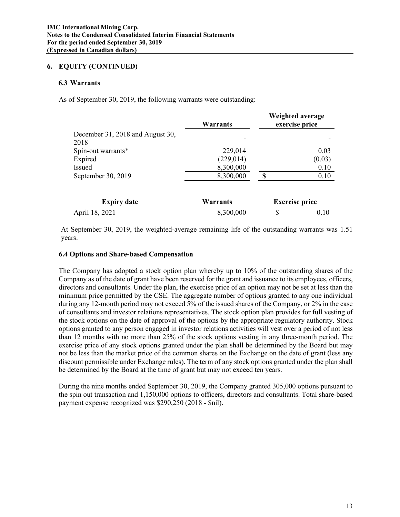### **6. EQUITY (CONTINUED)**

#### **6.3 Warrants**

As of September 30, 2019, the following warrants were outstanding:

|                                          | <b>Warrants</b> |    | Weighted average<br>exercise price |
|------------------------------------------|-----------------|----|------------------------------------|
| December 31, 2018 and August 30,<br>2018 |                 |    |                                    |
| Spin-out warrants*                       | 229,014         |    | 0.03                               |
| Expired                                  | (229, 014)      |    | (0.03)                             |
| Issued                                   | 8,300,000       |    | 0.10                               |
| September 30, 2019                       | 8,300,000       | £. | 0.10                               |
| <b>Expiry date</b>                       | <b>Warrants</b> |    | <b>Exercise price</b>              |
| April 18, 2021                           | 8,300,000       | \$ | 0.10                               |

At September 30, 2019, the weighted-average remaining life of the outstanding warrants was 1.51 years.

#### **6.4 Options and Share-based Compensation**

The Company has adopted a stock option plan whereby up to 10% of the outstanding shares of the Company as of the date of grant have been reserved for the grant and issuance to its employees, officers, directors and consultants. Under the plan, the exercise price of an option may not be set at less than the minimum price permitted by the CSE. The aggregate number of options granted to any one individual during any 12-month period may not exceed 5% of the issued shares of the Company, or 2% in the case of consultants and investor relations representatives. The stock option plan provides for full vesting of the stock options on the date of approval of the options by the appropriate regulatory authority. Stock options granted to any person engaged in investor relations activities will vest over a period of not less than 12 months with no more than 25% of the stock options vesting in any three-month period. The exercise price of any stock options granted under the plan shall be determined by the Board but may not be less than the market price of the common shares on the Exchange on the date of grant (less any discount permissible under Exchange rules). The term of any stock options granted under the plan shall be determined by the Board at the time of grant but may not exceed ten years.

During the nine months ended September 30, 2019, the Company granted 305,000 options pursuant to the spin out transaction and 1,150,000 options to officers, directors and consultants. Total share-based payment expense recognized was \$290,250 (2018 - \$nil).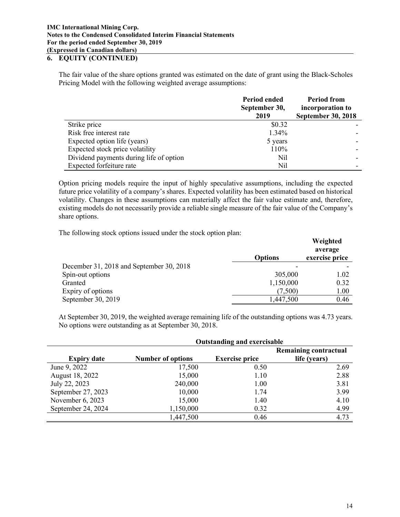## **6. EQUITY (CONTINUED)**

The fair value of the share options granted was estimated on the date of grant using the Black-Scholes Pricing Model with the following weighted average assumptions:

|                                         | Period ended<br>September 30,<br>2019 | <b>Period from</b><br>incorporation to<br><b>September 30, 2018</b> |
|-----------------------------------------|---------------------------------------|---------------------------------------------------------------------|
| Strike price                            | \$0.32                                |                                                                     |
| Risk free interest rate                 | $1.34\%$                              |                                                                     |
| Expected option life (years)            | 5 years                               |                                                                     |
| Expected stock price volatility         | 110%                                  |                                                                     |
| Dividend payments during life of option | Nil                                   |                                                                     |
| Expected forfeiture rate                | Nil                                   |                                                                     |

Option pricing models require the input of highly speculative assumptions, including the expected future price volatility of a company's shares. Expected volatility has been estimated based on historical volatility. Changes in these assumptions can materially affect the fair value estimate and, therefore, existing models do not necessarily provide a reliable single measure of the fair value of the Company's share options.

The following stock options issued under the stock option plan:

|                                          | <b>Options</b> | Weighted<br>average<br>exercise price |
|------------------------------------------|----------------|---------------------------------------|
| December 31, 2018 and September 30, 2018 |                |                                       |
| Spin-out options                         | 305,000        | 1.02                                  |
| Granted                                  | 1,150,000      | 0.32                                  |
| Expiry of options                        | (7,500)        | 1.00                                  |
| September 30, 2019                       | 1,447,500      | 0.46                                  |

At September 30, 2019, the weighted average remaining life of the outstanding options was 4.73 years. No options were outstanding as at September 30, 2018.

|                    | <b>Outstanding and exercisable</b> |                       |                              |  |  |
|--------------------|------------------------------------|-----------------------|------------------------------|--|--|
|                    |                                    |                       | <b>Remaining contractual</b> |  |  |
| <b>Expiry date</b> | <b>Number of options</b>           | <b>Exercise price</b> | life (years)                 |  |  |
| June 9, 2022       | 17,500                             | 0.50                  | 2.69                         |  |  |
| August 18, 2022    | 15,000                             | 1.10                  | 2.88                         |  |  |
| July 22, 2023      | 240,000                            | 1.00                  | 3.81                         |  |  |
| September 27, 2023 | 10,000                             | 1.74                  | 3.99                         |  |  |
| November 6, 2023   | 15,000                             | 1.40                  | 4.10                         |  |  |
| September 24, 2024 | 1,150,000                          | 0.32                  | 4.99                         |  |  |
|                    | 1,447,500                          | 0.46                  | 4.73                         |  |  |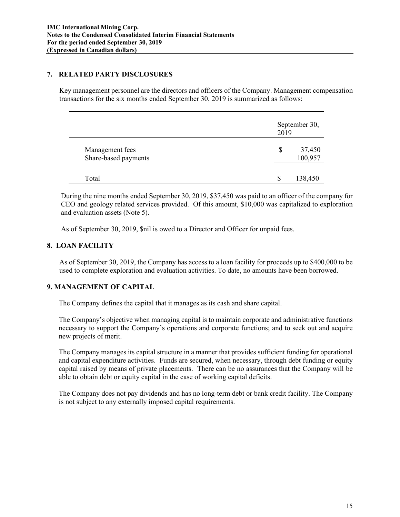### **7. RELATED PARTY DISCLOSURES**

Key management personnel are the directors and officers of the Company. Management compensation transactions for the six months ended September 30, 2019 is summarized as follows:

|                                         | September 30,<br>2019   |  |
|-----------------------------------------|-------------------------|--|
| Management fees<br>Share-based payments | \$<br>37,450<br>100,957 |  |
| Total                                   | 138,450                 |  |

During the nine months ended September 30, 2019, \$37,450 was paid to an officer of the company for CEO and geology related services provided. Of this amount, \$10,000 was capitalized to exploration and evaluation assets (Note 5).

As of September 30, 2019, \$nil is owed to a Director and Officer for unpaid fees.

## **8. LOAN FACILITY**

As of September 30, 2019, the Company has access to a loan facility for proceeds up to \$400,000 to be used to complete exploration and evaluation activities. To date, no amounts have been borrowed.

# **9. MANAGEMENT OF CAPITAL**

The Company defines the capital that it manages as its cash and share capital.

The Company's objective when managing capital is to maintain corporate and administrative functions necessary to support the Company's operations and corporate functions; and to seek out and acquire new projects of merit.

The Company manages its capital structure in a manner that provides sufficient funding for operational and capital expenditure activities. Funds are secured, when necessary, through debt funding or equity capital raised by means of private placements. There can be no assurances that the Company will be able to obtain debt or equity capital in the case of working capital deficits.

The Company does not pay dividends and has no long-term debt or bank credit facility. The Company is not subject to any externally imposed capital requirements.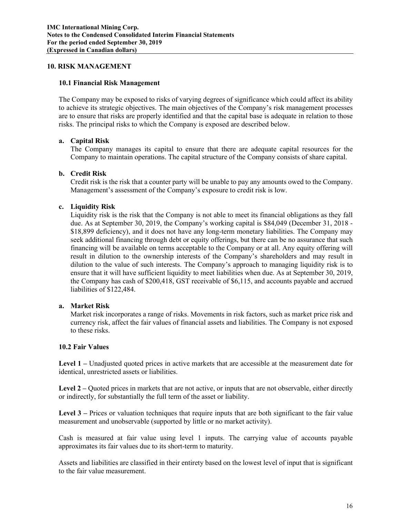#### **10. RISK MANAGEMENT**

#### **10.1 Financial Risk Management**

The Company may be exposed to risks of varying degrees of significance which could affect its ability to achieve its strategic objectives. The main objectives of the Company's risk management processes are to ensure that risks are properly identified and that the capital base is adequate in relation to those risks. The principal risks to which the Company is exposed are described below.

### **a. Capital Risk**

The Company manages its capital to ensure that there are adequate capital resources for the Company to maintain operations. The capital structure of the Company consists of share capital.

### **b. Credit Risk**

Credit risk is the risk that a counter party will be unable to pay any amounts owed to the Company. Management's assessment of the Company's exposure to credit risk is low.

### **c. Liquidity Risk**

Liquidity risk is the risk that the Company is not able to meet its financial obligations as they fall due. As at September 30, 2019, the Company's working capital is \$84,049 (December 31, 2018 - \$18,899 deficiency), and it does not have any long-term monetary liabilities. The Company may seek additional financing through debt or equity offerings, but there can be no assurance that such financing will be available on terms acceptable to the Company or at all. Any equity offering will result in dilution to the ownership interests of the Company's shareholders and may result in dilution to the value of such interests. The Company's approach to managing liquidity risk is to ensure that it will have sufficient liquidity to meet liabilities when due. As at September 30, 2019, the Company has cash of \$200,418, GST receivable of \$6,115, and accounts payable and accrued liabilities of \$122,484.

### **a. Market Risk**

Market risk incorporates a range of risks. Movements in risk factors, such as market price risk and currency risk, affect the fair values of financial assets and liabilities. The Company is not exposed to these risks.

#### **10.2 Fair Values**

**Level 1 –** Unadjusted quoted prices in active markets that are accessible at the measurement date for identical, unrestricted assets or liabilities.

Level 2 – Quoted prices in markets that are not active, or inputs that are not observable, either directly or indirectly, for substantially the full term of the asset or liability.

Level 3 – Prices or valuation techniques that require inputs that are both significant to the fair value measurement and unobservable (supported by little or no market activity).

Cash is measured at fair value using level 1 inputs. The carrying value of accounts payable approximates its fair values due to its short-term to maturity.

Assets and liabilities are classified in their entirety based on the lowest level of input that is significant to the fair value measurement.